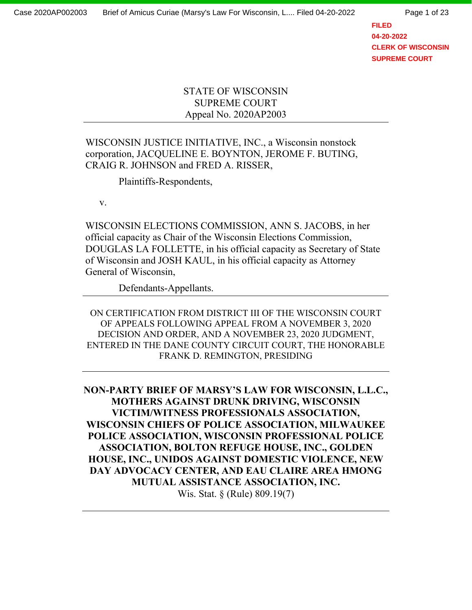**FILED 04-20-2022 CLERK OF WISCONSIN SUPREME COURT**

## STATE OF WISCONSIN SUPREME COURT Appeal No. 2020AP2003

WISCONSIN JUSTICE INITIATIVE, INC., a Wisconsin nonstock corporation, JACQUELINE E. BOYNTON, JEROME F. BUTING, CRAIG R. JOHNSON and FRED A. RISSER,

Plaintiffs-Respondents,

v.

WISCONSIN ELECTIONS COMMISSION, ANN S. JACOBS, in her official capacity as Chair of the Wisconsin Elections Commission, DOUGLAS LA FOLLETTE, in his official capacity as Secretary of State of Wisconsin and JOSH KAUL, in his official capacity as Attorney General of Wisconsin,

Defendants-Appellants.

ON CERTIFICATION FROM DISTRICT III OF THE WISCONSIN COURT OF APPEALS FOLLOWING APPEAL FROM A NOVEMBER 3, 2020 DECISION AND ORDER, AND A NOVEMBER 23, 2020 JUDGMENT, ENTERED IN THE DANE COUNTY CIRCUIT COURT, THE HONORABLE FRANK D. REMINGTON, PRESIDING

**NON-PARTY BRIEF OF MARSY'S LAW FOR WISCONSIN, L.L.C., MOTHERS AGAINST DRUNK DRIVING, WISCONSIN VICTIM/WITNESS PROFESSIONALS ASSOCIATION, WISCONSIN CHIEFS OF POLICE ASSOCIATION, MILWAUKEE POLICE ASSOCIATION, WISCONSIN PROFESSIONAL POLICE ASSOCIATION, BOLTON REFUGE HOUSE, INC., GOLDEN HOUSE, INC., UNIDOS AGAINST DOMESTIC VIOLENCE, NEW DAY ADVOCACY CENTER, AND EAU CLAIRE AREA HMONG MUTUAL ASSISTANCE ASSOCIATION, INC.**  Wis. Stat. § (Rule) 809.19(7)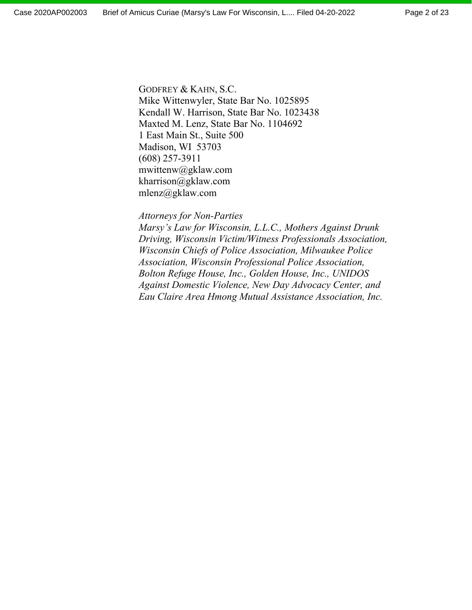GODFREY & KAHN, S.C. Mike Wittenwyler, State Bar No. 1025895 Kendall W. Harrison, State Bar No. 1023438 Maxted M. Lenz, State Bar No. 1104692 1 East Main St., Suite 500 Madison, WI 53703 (608) 257-3911 mwittenw@gklaw.com kharrison@gklaw.com mlenz@gklaw.com

#### *Attorneys for Non-Parties*

*Marsy's Law for Wisconsin, L.L.C., Mothers Against Drunk Driving, Wisconsin Victim/Witness Professionals Association, Wisconsin Chiefs of Police Association, Milwaukee Police Association, Wisconsin Professional Police Association, Bolton Refuge House, Inc., Golden House, Inc., UNIDOS Against Domestic Violence, New Day Advocacy Center, and Eau Claire Area Hmong Mutual Assistance Association, Inc.*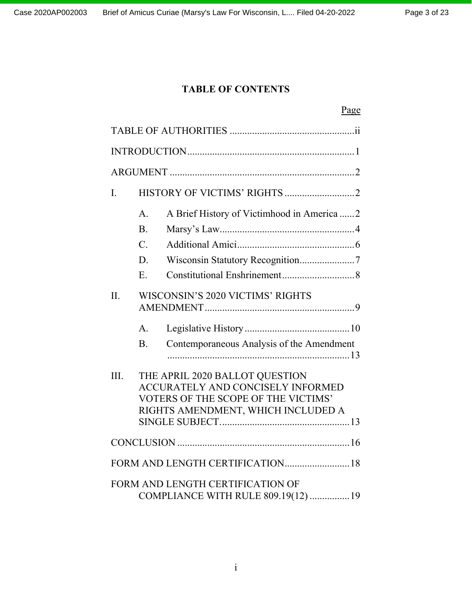# **TABLE OF CONTENTS**

|                                  |                                                     | Page                                                                                                                                                    |  |
|----------------------------------|-----------------------------------------------------|---------------------------------------------------------------------------------------------------------------------------------------------------------|--|
|                                  |                                                     |                                                                                                                                                         |  |
|                                  |                                                     |                                                                                                                                                         |  |
|                                  |                                                     |                                                                                                                                                         |  |
| $\mathbf{I}$ .                   |                                                     |                                                                                                                                                         |  |
|                                  | A <sub>1</sub><br>B.<br>$\mathcal{C}$ .<br>D.<br>E. | A Brief History of Victimhood in America  2                                                                                                             |  |
| II.                              | WISCONSIN'S 2020 VICTIMS' RIGHTS                    |                                                                                                                                                         |  |
|                                  | A <sub>1</sub><br><b>B.</b>                         | Contemporaneous Analysis of the Amendment                                                                                                               |  |
| III.                             |                                                     | THE APRIL 2020 BALLOT QUESTION<br><b>ACCURATELY AND CONCISELY INFORMED</b><br>VOTERS OF THE SCOPE OF THE VICTIMS'<br>RIGHTS AMENDMENT, WHICH INCLUDED A |  |
|                                  |                                                     |                                                                                                                                                         |  |
| FORM AND LENGTH CERTIFICATION 18 |                                                     |                                                                                                                                                         |  |
|                                  |                                                     | FORM AND LENGTH CERTIFICATION OF<br>COMPLIANCE WITH RULE 809.19(12)  19                                                                                 |  |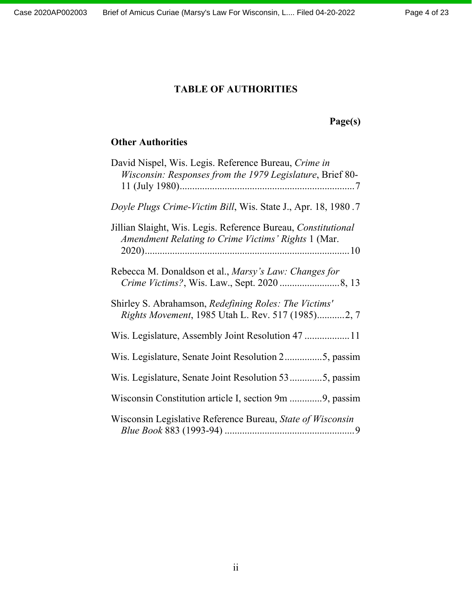# **TABLE OF AUTHORITIES**

# **Page(s)**

# **Other Authorities**

| David Nispel, Wis. Legis. Reference Bureau, Crime in<br>Wisconsin: Responses from the 1979 Legislature, Brief 80-    |
|----------------------------------------------------------------------------------------------------------------------|
| Doyle Plugs Crime-Victim Bill, Wis. State J., Apr. 18, 1980.7                                                        |
| Jillian Slaight, Wis. Legis. Reference Bureau, Constitutional<br>Amendment Relating to Crime Victims' Rights 1 (Mar. |
| Rebecca M. Donaldson et al., Marsy's Law: Changes for                                                                |
| Shirley S. Abrahamson, Redefining Roles: The Victims'<br>Rights Movement, 1985 Utah L. Rev. 517 (1985)2, 7           |
|                                                                                                                      |
| Wis. Legislature, Senate Joint Resolution 25, passim                                                                 |
| Wis. Legislature, Senate Joint Resolution 535, passim                                                                |
| Wisconsin Constitution article I, section 9m 9, passim                                                               |
| Wisconsin Legislative Reference Bureau, State of Wisconsin                                                           |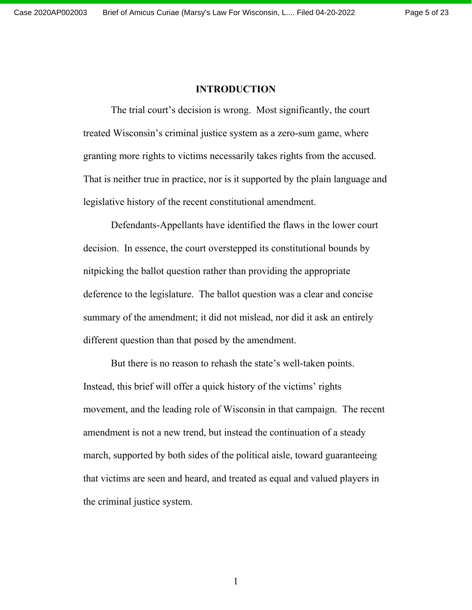#### **INTRODUCTION**

The trial court's decision is wrong. Most significantly, the court treated Wisconsin's criminal justice system as a zero-sum game, where granting more rights to victims necessarily takes rights from the accused. That is neither true in practice, nor is it supported by the plain language and legislative history of the recent constitutional amendment.

Defendants-Appellants have identified the flaws in the lower court decision. In essence, the court overstepped its constitutional bounds by nitpicking the ballot question rather than providing the appropriate deference to the legislature. The ballot question was a clear and concise summary of the amendment; it did not mislead, nor did it ask an entirely different question than that posed by the amendment.

But there is no reason to rehash the state's well-taken points. Instead, this brief will offer a quick history of the victims' rights movement, and the leading role of Wisconsin in that campaign. The recent amendment is not a new trend, but instead the continuation of a steady march, supported by both sides of the political aisle, toward guaranteeing that victims are seen and heard, and treated as equal and valued players in the criminal justice system.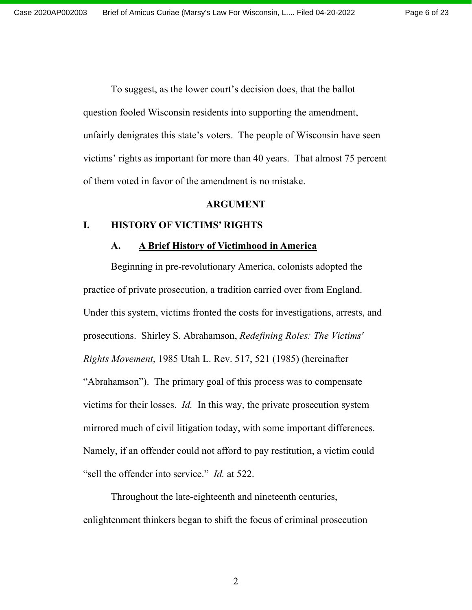To suggest, as the lower court's decision does, that the ballot question fooled Wisconsin residents into supporting the amendment, unfairly denigrates this state's voters. The people of Wisconsin have seen victims' rights as important for more than 40 years. That almost 75 percent of them voted in favor of the amendment is no mistake.

#### **ARGUMENT**

## **I. HISTORY OF VICTIMS' RIGHTS**

#### **A. A Brief History of Victimhood in America**

Beginning in pre-revolutionary America, colonists adopted the practice of private prosecution, a tradition carried over from England. Under this system, victims fronted the costs for investigations, arrests, and prosecutions. Shirley S. Abrahamson, *Redefining Roles: The Victims' Rights Movement*, 1985 Utah L. Rev. 517, 521 (1985) (hereinafter "Abrahamson"). The primary goal of this process was to compensate victims for their losses. *Id.* In this way, the private prosecution system mirrored much of civil litigation today, with some important differences. Namely, if an offender could not afford to pay restitution, a victim could "sell the offender into service." *Id.* at 522.

Throughout the late-eighteenth and nineteenth centuries, enlightenment thinkers began to shift the focus of criminal prosecution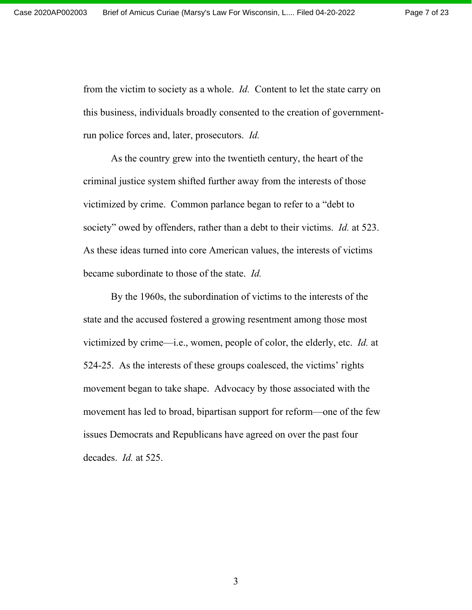from the victim to society as a whole. *Id.* Content to let the state carry on this business, individuals broadly consented to the creation of governmentrun police forces and, later, prosecutors. *Id.* 

As the country grew into the twentieth century, the heart of the criminal justice system shifted further away from the interests of those victimized by crime. Common parlance began to refer to a "debt to society" owed by offenders, rather than a debt to their victims. *Id.* at 523. As these ideas turned into core American values, the interests of victims became subordinate to those of the state. *Id.* 

By the 1960s, the subordination of victims to the interests of the state and the accused fostered a growing resentment among those most victimized by crime—i.e., women, people of color, the elderly, etc. *Id.* at 524-25. As the interests of these groups coalesced, the victims' rights movement began to take shape. Advocacy by those associated with the movement has led to broad, bipartisan support for reform—one of the few issues Democrats and Republicans have agreed on over the past four decades. *Id.* at 525.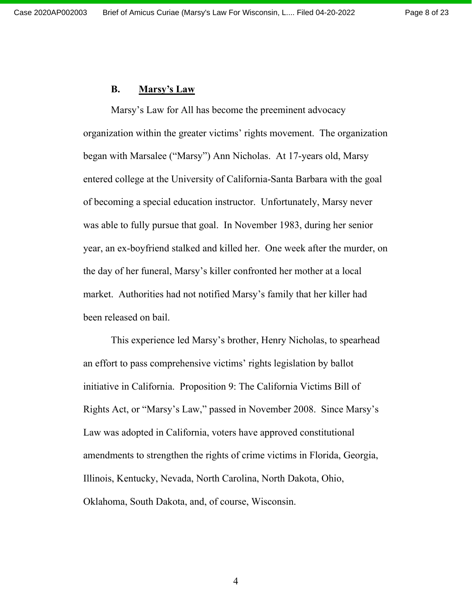## **B. Marsy's Law**

Marsy's Law for All has become the preeminent advocacy organization within the greater victims' rights movement. The organization began with Marsalee ("Marsy") Ann Nicholas. At 17-years old, Marsy entered college at the University of California-Santa Barbara with the goal of becoming a special education instructor. Unfortunately, Marsy never was able to fully pursue that goal. In November 1983, during her senior year, an ex-boyfriend stalked and killed her. One week after the murder, on the day of her funeral, Marsy's killer confronted her mother at a local market. Authorities had not notified Marsy's family that her killer had been released on bail.

This experience led Marsy's brother, Henry Nicholas, to spearhead an effort to pass comprehensive victims' rights legislation by ballot initiative in California. Proposition 9: The California Victims Bill of Rights Act, or "Marsy's Law," passed in November 2008. Since Marsy's Law was adopted in California, voters have approved constitutional amendments to strengthen the rights of crime victims in Florida, Georgia, Illinois, Kentucky, Nevada, North Carolina, North Dakota, Ohio, Oklahoma, South Dakota, and, of course, Wisconsin.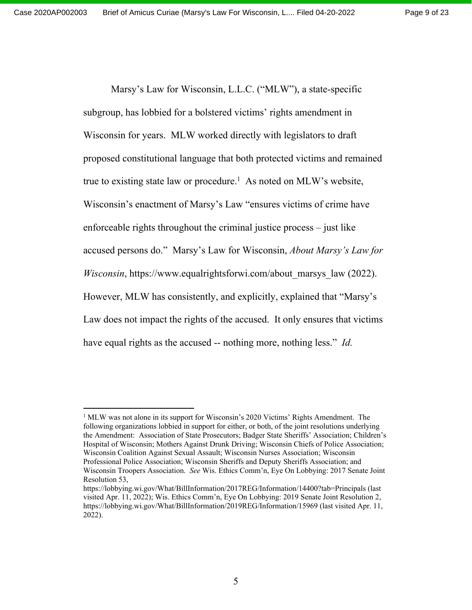Marsy's Law for Wisconsin, L.L.C. ("MLW"), a state-specific subgroup, has lobbied for a bolstered victims' rights amendment in Wisconsin for years. MLW worked directly with legislators to draft proposed constitutional language that both protected victims and remained true to existing state law or procedure.<sup>1</sup> As noted on MLW's website, Wisconsin's enactment of Marsy's Law "ensures victims of crime have enforceable rights throughout the criminal justice process – just like accused persons do." Marsy's Law for Wisconsin, *About Marsy's Law for Wisconsin*, https://www.equalrightsforwi.com/about\_marsys\_law (2022). However, MLW has consistently, and explicitly, explained that "Marsy's Law does not impact the rights of the accused. It only ensures that victims have equal rights as the accused -- nothing more, nothing less." *Id.* 

<sup>&</sup>lt;sup>1</sup> MLW was not alone in its support for Wisconsin's 2020 Victims' Rights Amendment. The following organizations lobbied in support for either, or both, of the joint resolutions underlying the Amendment: Association of State Prosecutors; Badger State Sheriffs' Association; Children's Hospital of Wisconsin; Mothers Against Drunk Driving; Wisconsin Chiefs of Police Association; Wisconsin Coalition Against Sexual Assault; Wisconsin Nurses Association; Wisconsin Professional Police Association; Wisconsin Sheriffs and Deputy Sheriffs Association; and Wisconsin Troopers Association. *See* Wis. Ethics Comm'n, Eye On Lobbying: 2017 Senate Joint Resolution 53,

https://lobbying.wi.gov/What/BillInformation/2017REG/Information/14400?tab=Principals (last visited Apr. 11, 2022); Wis. Ethics Comm'n, Eye On Lobbying: 2019 Senate Joint Resolution 2, https://lobbying.wi.gov/What/BillInformation/2019REG/Information/15969 (last visited Apr. 11, 2022).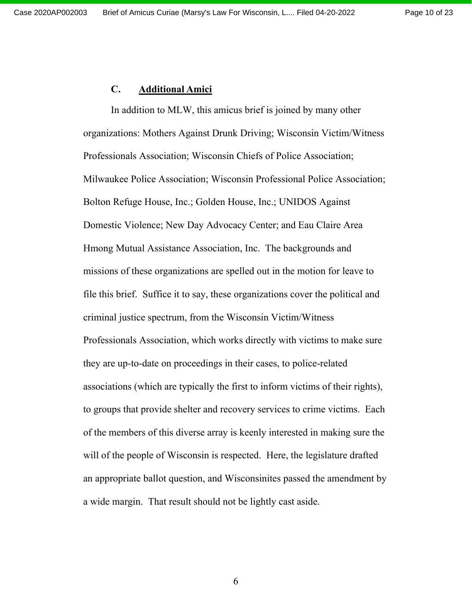## **C. Additional Amici**

In addition to MLW, this amicus brief is joined by many other organizations: Mothers Against Drunk Driving; Wisconsin Victim/Witness Professionals Association; Wisconsin Chiefs of Police Association; Milwaukee Police Association; Wisconsin Professional Police Association; Bolton Refuge House, Inc.; Golden House, Inc.; UNIDOS Against Domestic Violence; New Day Advocacy Center; and Eau Claire Area Hmong Mutual Assistance Association, Inc. The backgrounds and missions of these organizations are spelled out in the motion for leave to file this brief. Suffice it to say, these organizations cover the political and criminal justice spectrum, from the Wisconsin Victim/Witness Professionals Association, which works directly with victims to make sure they are up-to-date on proceedings in their cases, to police-related associations (which are typically the first to inform victims of their rights), to groups that provide shelter and recovery services to crime victims. Each of the members of this diverse array is keenly interested in making sure the will of the people of Wisconsin is respected. Here, the legislature drafted an appropriate ballot question, and Wisconsinites passed the amendment by a wide margin. That result should not be lightly cast aside.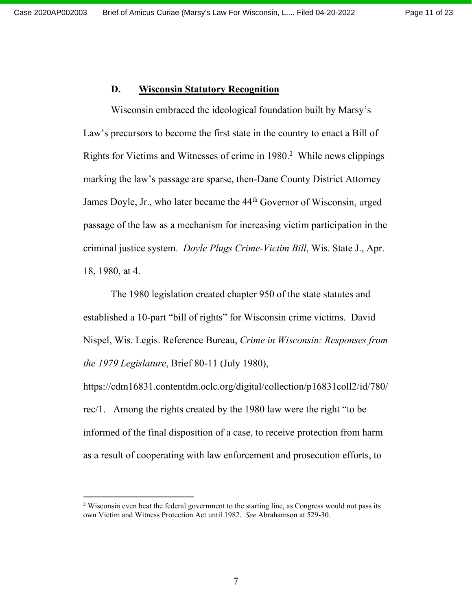## **D. Wisconsin Statutory Recognition**

Wisconsin embraced the ideological foundation built by Marsy's Law's precursors to become the first state in the country to enact a Bill of Rights for Victims and Witnesses of crime in 1980.<sup>2</sup> While news clippings marking the law's passage are sparse, then-Dane County District Attorney James Doyle, Jr., who later became the 44<sup>th</sup> Governor of Wisconsin, urged passage of the law as a mechanism for increasing victim participation in the criminal justice system. *Doyle Plugs Crime-Victim Bill*, Wis. State J., Apr. 18, 1980, at 4.

The 1980 legislation created chapter 950 of the state statutes and established a 10-part "bill of rights" for Wisconsin crime victims. David Nispel, Wis. Legis. Reference Bureau, *Crime in Wisconsin: Responses from the 1979 Legislature*, Brief 80-11 (July 1980),

https://cdm16831.contentdm.oclc.org/digital/collection/p16831coll2/id/780/ rec/1. Among the rights created by the 1980 law were the right "to be informed of the final disposition of a case, to receive protection from harm as a result of cooperating with law enforcement and prosecution efforts, to

<sup>&</sup>lt;sup>2</sup> Wisconsin even beat the federal government to the starting line, as Congress would not pass its own Victim and Witness Protection Act until 1982. *See* Abrahamson at 529-30.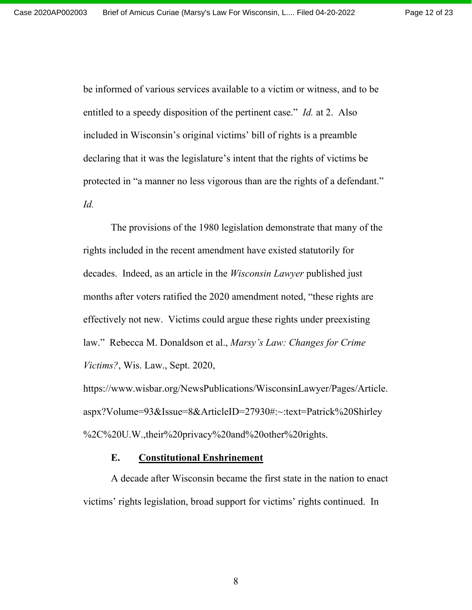Page 12 of 23

be informed of various services available to a victim or witness, and to be entitled to a speedy disposition of the pertinent case." *Id.* at 2. Also included in Wisconsin's original victims' bill of rights is a preamble declaring that it was the legislature's intent that the rights of victims be protected in "a manner no less vigorous than are the rights of a defendant." *Id.*

The provisions of the 1980 legislation demonstrate that many of the rights included in the recent amendment have existed statutorily for decades. Indeed, as an article in the *Wisconsin Lawyer* published just months after voters ratified the 2020 amendment noted, "these rights are effectively not new. Victims could argue these rights under preexisting law." Rebecca M. Donaldson et al., *Marsy's Law: Changes for Crime Victims?*, Wis. Law., Sept. 2020,

https://www.wisbar.org/NewsPublications/WisconsinLawyer/Pages/Article. aspx?Volume=93&Issue=8&ArticleID=27930#:~:text=Patrick%20Shirley %2C%20U.W.,their%20privacy%20and%20other%20rights.

#### **E. Constitutional Enshrinement**

A decade after Wisconsin became the first state in the nation to enact victims' rights legislation, broad support for victims' rights continued. In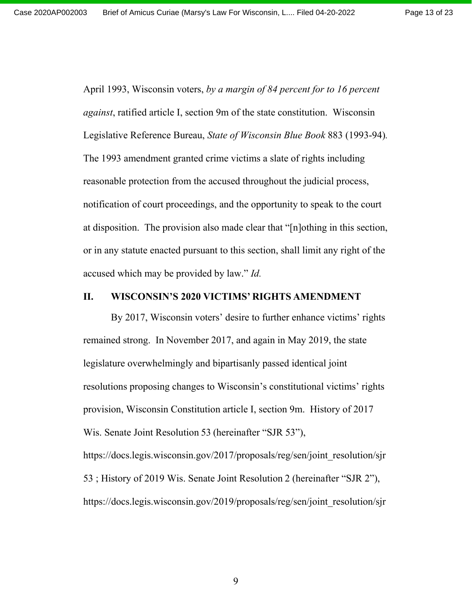Page 13 of 23

April 1993, Wisconsin voters, *by a margin of 84 percent for to 16 percent against*, ratified article I, section 9m of the state constitution. Wisconsin Legislative Reference Bureau, *State of Wisconsin Blue Book* 883 (1993-94)*.*  The 1993 amendment granted crime victims a slate of rights including reasonable protection from the accused throughout the judicial process, notification of court proceedings, and the opportunity to speak to the court at disposition. The provision also made clear that "[n]othing in this section, or in any statute enacted pursuant to this section, shall limit any right of the accused which may be provided by law." *Id.*

#### **II. WISCONSIN'S 2020 VICTIMS' RIGHTS AMENDMENT**

By 2017, Wisconsin voters' desire to further enhance victims' rights remained strong. In November 2017, and again in May 2019, the state legislature overwhelmingly and bipartisanly passed identical joint resolutions proposing changes to Wisconsin's constitutional victims' rights provision, Wisconsin Constitution article I, section 9m. History of 2017 Wis. Senate Joint Resolution 53 (hereinafter "SJR 53"), https://docs.legis.wisconsin.gov/2017/proposals/reg/sen/joint\_resolution/sjr 53 ; History of 2019 Wis. Senate Joint Resolution 2 (hereinafter "SJR 2"), https://docs.legis.wisconsin.gov/2019/proposals/reg/sen/joint\_resolution/sjr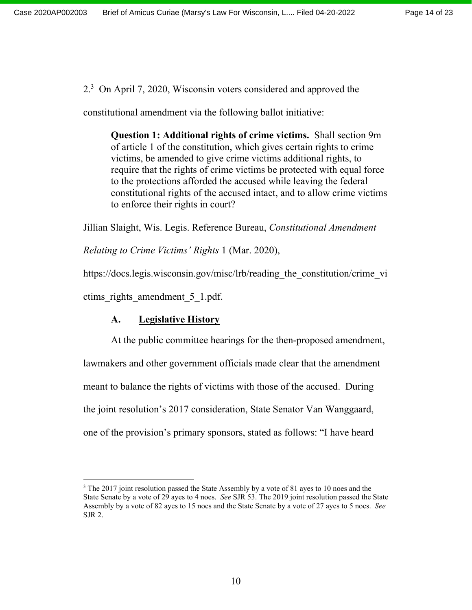2.3 On April 7, 2020, Wisconsin voters considered and approved the

constitutional amendment via the following ballot initiative:

**Question 1: Additional rights of crime victims.** Shall section 9m of article 1 of the constitution, which gives certain rights to crime victims, be amended to give crime victims additional rights, to require that the rights of crime victims be protected with equal force to the protections afforded the accused while leaving the federal constitutional rights of the accused intact, and to allow crime victims to enforce their rights in court?

Jillian Slaight, Wis. Legis. Reference Bureau, *Constitutional Amendment* 

*Relating to Crime Victims' Rights* 1 (Mar. 2020),

https://docs.legis.wisconsin.gov/misc/lrb/reading the constitution/crime vi

ctims rights amendment 5 1.pdf.

# **A. Legislative History**

At the public committee hearings for the then-proposed amendment,

lawmakers and other government officials made clear that the amendment meant to balance the rights of victims with those of the accused. During the joint resolution's 2017 consideration, State Senator Van Wanggaard, one of the provision's primary sponsors, stated as follows: "I have heard

 $3$  The 2017 joint resolution passed the State Assembly by a vote of 81 ayes to 10 noes and the State Senate by a vote of 29 ayes to 4 noes. *See* SJR 53. The 2019 joint resolution passed the State Assembly by a vote of 82 ayes to 15 noes and the State Senate by a vote of 27 ayes to 5 noes. *See*  SJR 2.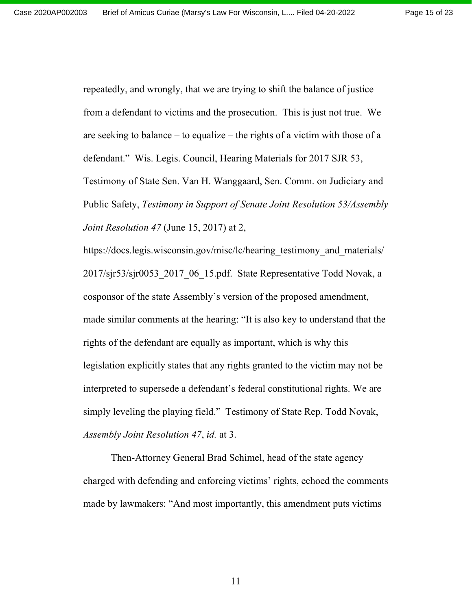repeatedly, and wrongly, that we are trying to shift the balance of justice from a defendant to victims and the prosecution. This is just not true. We are seeking to balance – to equalize – the rights of a victim with those of a defendant." Wis. Legis. Council, Hearing Materials for 2017 SJR 53, Testimony of State Sen. Van H. Wanggaard, Sen. Comm. on Judiciary and Public Safety, *Testimony in Support of Senate Joint Resolution 53/Assembly Joint Resolution 47* (June 15, 2017) at 2,

https://docs.legis.wisconsin.gov/misc/lc/hearing testimony and materials/ 2017/sjr53/sjr0053 2017 06 15.pdf. State Representative Todd Novak, a cosponsor of the state Assembly's version of the proposed amendment, made similar comments at the hearing: "It is also key to understand that the rights of the defendant are equally as important, which is why this legislation explicitly states that any rights granted to the victim may not be interpreted to supersede a defendant's federal constitutional rights. We are simply leveling the playing field." Testimony of State Rep. Todd Novak, *Assembly Joint Resolution 47*, *id.* at 3.

Then-Attorney General Brad Schimel, head of the state agency charged with defending and enforcing victims' rights, echoed the comments made by lawmakers: "And most importantly, this amendment puts victims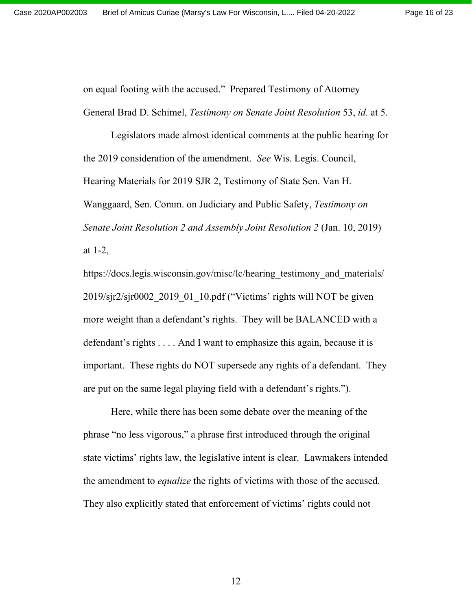on equal footing with the accused." Prepared Testimony of Attorney General Brad D. Schimel, *Testimony on Senate Joint Resolution* 53, *id.* at 5.

Legislators made almost identical comments at the public hearing for the 2019 consideration of the amendment. *See* Wis. Legis. Council, Hearing Materials for 2019 SJR 2, Testimony of State Sen. Van H. Wanggaard, Sen. Comm. on Judiciary and Public Safety, *Testimony on Senate Joint Resolution 2 and Assembly Joint Resolution 2* (Jan. 10, 2019) at 1-2,

https://docs.legis.wisconsin.gov/misc/lc/hearing testimony and materials/ 2019/sjr2/sjr0002\_2019\_01\_10.pdf ("Victims' rights will NOT be given more weight than a defendant's rights. They will be BALANCED with a defendant's rights . . . . And I want to emphasize this again, because it is important. These rights do NOT supersede any rights of a defendant. They are put on the same legal playing field with a defendant's rights.").

Here, while there has been some debate over the meaning of the phrase "no less vigorous," a phrase first introduced through the original state victims' rights law, the legislative intent is clear. Lawmakers intended the amendment to *equalize* the rights of victims with those of the accused. They also explicitly stated that enforcement of victims' rights could not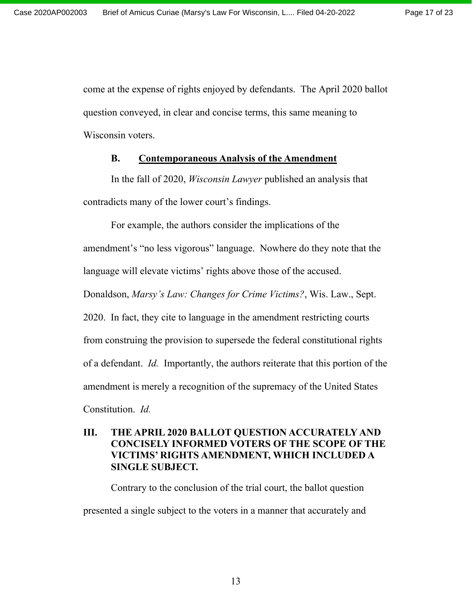come at the expense of rights enjoyed by defendants. The April 2020 ballot question conveyed, in clear and concise terms, this same meaning to Wisconsin voters.

## **B. Contemporaneous Analysis of the Amendment**

In the fall of 2020, *Wisconsin Lawyer* published an analysis that contradicts many of the lower court's findings.

For example, the authors consider the implications of the amendment's "no less vigorous" language. Nowhere do they note that the language will elevate victims' rights above those of the accused. Donaldson, *Marsy's Law: Changes for Crime Victims?*, Wis. Law., Sept. 2020. In fact, they cite to language in the amendment restricting courts from construing the provision to supersede the federal constitutional rights of a defendant. *Id.* Importantly, the authors reiterate that this portion of the amendment is merely a recognition of the supremacy of the United States Constitution. *Id.* 

# **III. THE APRIL 2020 BALLOT QUESTION ACCURATELY AND CONCISELY INFORMED VOTERS OF THE SCOPE OF THE VICTIMS' RIGHTS AMENDMENT, WHICH INCLUDED A SINGLE SUBJECT.**

Contrary to the conclusion of the trial court, the ballot question presented a single subject to the voters in a manner that accurately and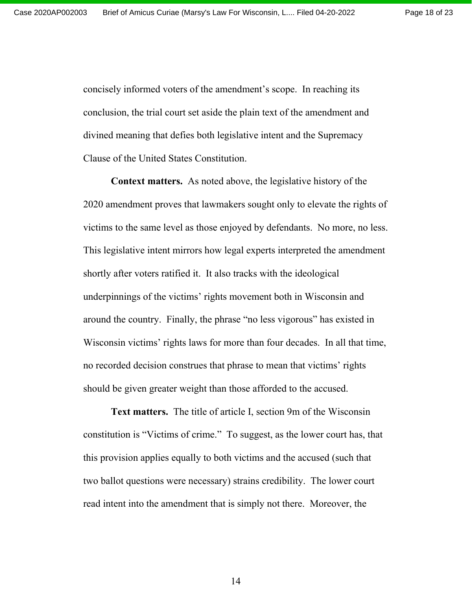concisely informed voters of the amendment's scope. In reaching its conclusion, the trial court set aside the plain text of the amendment and divined meaning that defies both legislative intent and the Supremacy Clause of the United States Constitution.

**Context matters.** As noted above, the legislative history of the 2020 amendment proves that lawmakers sought only to elevate the rights of victims to the same level as those enjoyed by defendants. No more, no less. This legislative intent mirrors how legal experts interpreted the amendment shortly after voters ratified it. It also tracks with the ideological underpinnings of the victims' rights movement both in Wisconsin and around the country. Finally, the phrase "no less vigorous" has existed in Wisconsin victims' rights laws for more than four decades. In all that time, no recorded decision construes that phrase to mean that victims' rights should be given greater weight than those afforded to the accused.

**Text matters.** The title of article I, section 9m of the Wisconsin constitution is "Victims of crime." To suggest, as the lower court has, that this provision applies equally to both victims and the accused (such that two ballot questions were necessary) strains credibility. The lower court read intent into the amendment that is simply not there. Moreover, the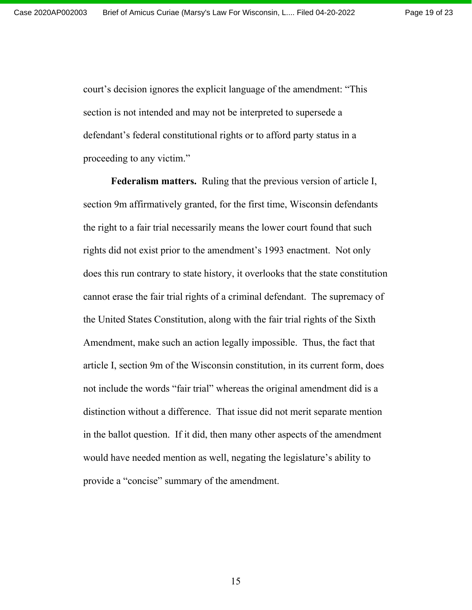court's decision ignores the explicit language of the amendment: "This section is not intended and may not be interpreted to supersede a defendant's federal constitutional rights or to afford party status in a proceeding to any victim."

**Federalism matters.** Ruling that the previous version of article I, section 9m affirmatively granted, for the first time, Wisconsin defendants the right to a fair trial necessarily means the lower court found that such rights did not exist prior to the amendment's 1993 enactment. Not only does this run contrary to state history, it overlooks that the state constitution cannot erase the fair trial rights of a criminal defendant. The supremacy of the United States Constitution, along with the fair trial rights of the Sixth Amendment, make such an action legally impossible. Thus, the fact that article I, section 9m of the Wisconsin constitution, in its current form, does not include the words "fair trial" whereas the original amendment did is a distinction without a difference. That issue did not merit separate mention in the ballot question. If it did, then many other aspects of the amendment would have needed mention as well, negating the legislature's ability to provide a "concise" summary of the amendment.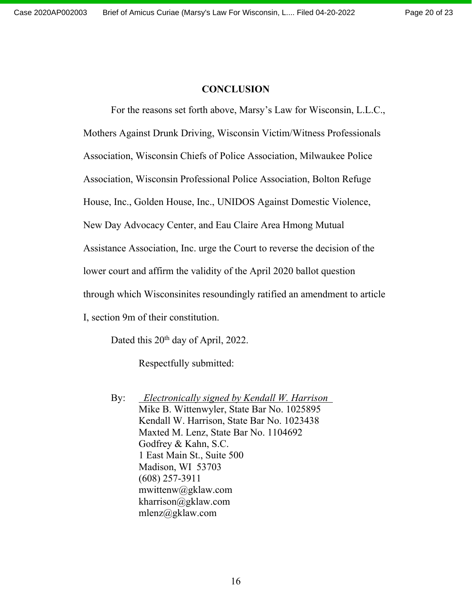## **CONCLUSION**

For the reasons set forth above, Marsy's Law for Wisconsin, L.L.C.,

Mothers Against Drunk Driving, Wisconsin Victim/Witness Professionals

Association, Wisconsin Chiefs of Police Association, Milwaukee Police

Association, Wisconsin Professional Police Association, Bolton Refuge

House, Inc., Golden House, Inc., UNIDOS Against Domestic Violence,

New Day Advocacy Center, and Eau Claire Area Hmong Mutual

Assistance Association, Inc. urge the Court to reverse the decision of the

lower court and affirm the validity of the April 2020 ballot question

through which Wisconsinites resoundingly ratified an amendment to article

I, section 9m of their constitution.

Dated this 20<sup>th</sup> day of April, 2022.

Respectfully submitted:

By: *Electronically signed by Kendall W. Harrison* Mike B. Wittenwyler, State Bar No. 1025895 Kendall W. Harrison, State Bar No. 1023438 Maxted M. Lenz, State Bar No. 1104692 Godfrey & Kahn, S.C. 1 East Main St., Suite 500 Madison, WI 53703 (608) 257-3911 mwittenw@gklaw.com kharrison@gklaw.com mlenz@gklaw.com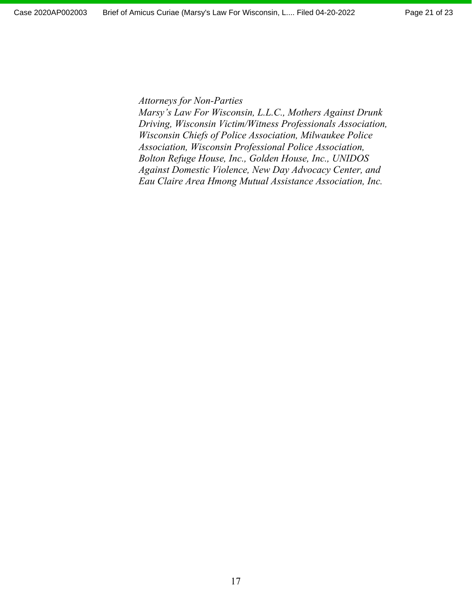*Attorneys for Non-Parties* 

*Marsy's Law For Wisconsin, L.L.C., Mothers Against Drunk Driving, Wisconsin Victim/Witness Professionals Association, Wisconsin Chiefs of Police Association, Milwaukee Police Association, Wisconsin Professional Police Association, Bolton Refuge House, Inc., Golden House, Inc., UNIDOS Against Domestic Violence, New Day Advocacy Center, and Eau Claire Area Hmong Mutual Assistance Association, Inc.*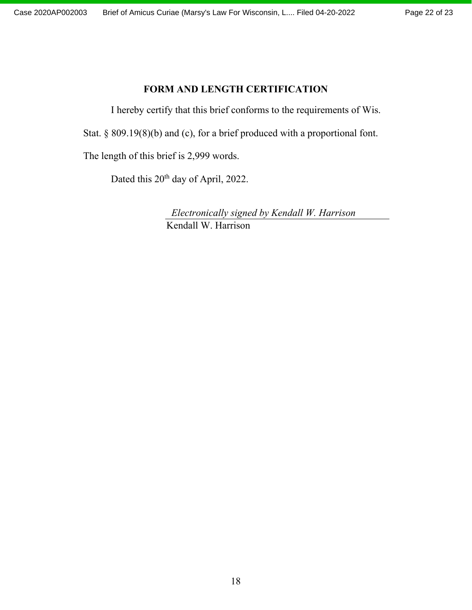# **FORM AND LENGTH CERTIFICATION**

I hereby certify that this brief conforms to the requirements of Wis.

Stat. § 809.19(8)(b) and (c), for a brief produced with a proportional font.

The length of this brief is 2,999 words.

Dated this 20<sup>th</sup> day of April, 2022.

 *Electronically signed by Kendall W. Harrison*  Kendall W. Harrison